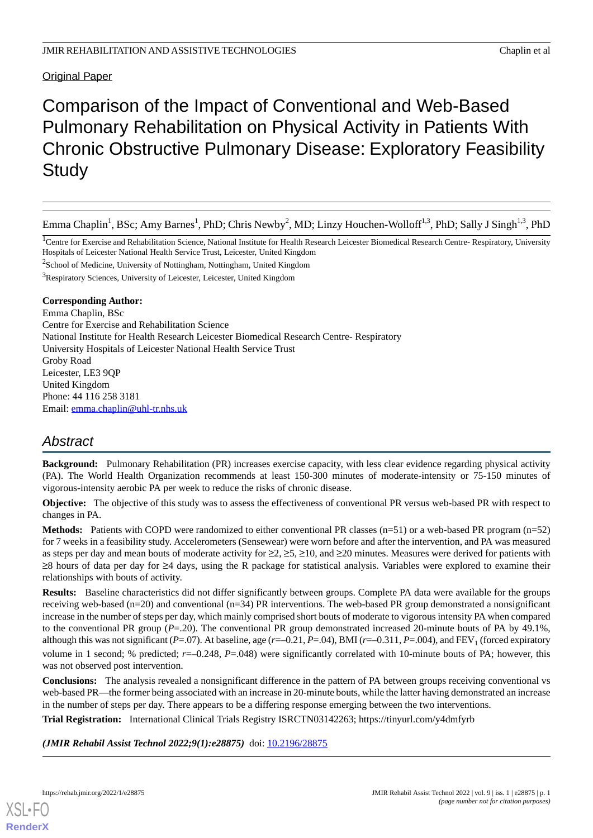Original Paper

# Comparison of the Impact of Conventional and Web-Based Pulmonary Rehabilitation on Physical Activity in Patients With Chronic Obstructive Pulmonary Disease: Exploratory Feasibility **Study**

Emma Chaplin<sup>1</sup>, BSc; Amy Barnes<sup>1</sup>, PhD; Chris Newby<sup>2</sup>, MD; Linzy Houchen-Wolloff<sup>1,3</sup>, PhD; Sally J Singh<sup>1,3</sup>, PhD

<sup>1</sup>Centre for Exercise and Rehabilitation Science, National Institute for Health Research Leicester Biomedical Research Centre- Respiratory, University Hospitals of Leicester National Health Service Trust, Leicester, United Kingdom

<sup>2</sup>School of Medicine, University of Nottingham, Nottingham, United Kingdom

<sup>3</sup>Respiratory Sciences, University of Leicester, Leicester, United Kingdom

# **Corresponding Author:**

Emma Chaplin, BSc Centre for Exercise and Rehabilitation Science National Institute for Health Research Leicester Biomedical Research Centre- Respiratory University Hospitals of Leicester National Health Service Trust Groby Road Leicester, LE3 9QP United Kingdom Phone: 44 116 258 3181 Email: [emma.chaplin@uhl-tr.nhs.uk](mailto:emma.chaplin@uhl-tr.nhs.uk)

# *Abstract*

**Background:** Pulmonary Rehabilitation (PR) increases exercise capacity, with less clear evidence regarding physical activity (PA). The World Health Organization recommends at least 150-300 minutes of moderate-intensity or 75-150 minutes of vigorous-intensity aerobic PA per week to reduce the risks of chronic disease.

**Objective:** The objective of this study was to assess the effectiveness of conventional PR versus web-based PR with respect to changes in PA.

**Methods:** Patients with COPD were randomized to either conventional PR classes (n=51) or a web-based PR program (n=52) for 7 weeks in a feasibility study. Accelerometers (Sensewear) were worn before and after the intervention, and PA was measured as steps per day and mean bouts of moderate activity for  $\geq 2$ ,  $\geq 5$ ,  $\geq 10$ , and  $\geq 20$  minutes. Measures were derived for patients with ≥8 hours of data per day for ≥4 days, using the R package for statistical analysis. Variables were explored to examine their relationships with bouts of activity.

**Results:** Baseline characteristics did not differ significantly between groups. Complete PA data were available for the groups receiving web-based ( $n=20$ ) and conventional ( $n=34$ ) PR interventions. The web-based PR group demonstrated a nonsignificant increase in the number of steps per day, which mainly comprised short bouts of moderate to vigorous intensity PA when compared to the conventional PR group  $(P=20)$ . The conventional PR group demonstrated increased 20-minute bouts of PA by 49.1%, although this was not significant ( $P = .07$ ). At baseline, age ( $r = -0.21$ ,  $P = .04$ ), BMI ( $r = -0.311$ ,  $P = .004$ ), and  $FEV<sub>1</sub>$  (forced expiratory volume in 1 second; % predicted; *r*=–0.248, *P*=.048) were significantly correlated with 10-minute bouts of PA; however, this was not observed post intervention.

**Conclusions:** The analysis revealed a nonsignificant difference in the pattern of PA between groups receiving conventional vs web-based PR—the former being associated with an increase in 20-minute bouts, while the latter having demonstrated an increase in the number of steps per day. There appears to be a differing response emerging between the two interventions.

**Trial Registration:** International Clinical Trials Registry ISRCTN03142263; https://tinyurl.com/y4dmfyrb

*(JMIR Rehabil Assist Technol 2022;9(1):e28875)* doi: [10.2196/28875](http://dx.doi.org/10.2196/28875)

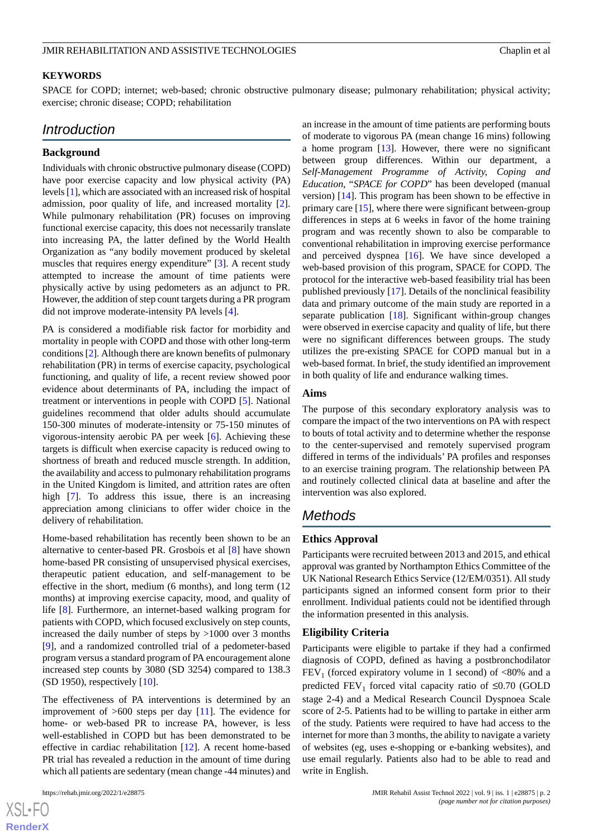## **KEYWORDS**

SPACE for COPD; internet; web-based; chronic obstructive pulmonary disease; pulmonary rehabilitation; physical activity; exercise; chronic disease; COPD; rehabilitation

# *Introduction*

## **Background**

Individuals with chronic obstructive pulmonary disease (COPD) have poor exercise capacity and low physical activity (PA) levels [\[1\]](#page-8-0), which are associated with an increased risk of hospital admission, poor quality of life, and increased mortality [[2\]](#page-8-1). While pulmonary rehabilitation (PR) focuses on improving functional exercise capacity, this does not necessarily translate into increasing PA, the latter defined by the World Health Organization as "any bodily movement produced by skeletal muscles that requires energy expenditure" [[3\]](#page-8-2). A recent study attempted to increase the amount of time patients were physically active by using pedometers as an adjunct to PR. However, the addition of step count targets during a PR program did not improve moderate-intensity PA levels [\[4](#page-9-0)].

PA is considered a modifiable risk factor for morbidity and mortality in people with COPD and those with other long-term conditions [\[2\]](#page-8-1). Although there are known benefits of pulmonary rehabilitation (PR) in terms of exercise capacity, psychological functioning, and quality of life, a recent review showed poor evidence about determinants of PA, including the impact of treatment or interventions in people with COPD [\[5](#page-9-1)]. National guidelines recommend that older adults should accumulate 150-300 minutes of moderate-intensity or 75-150 minutes of vigorous-intensity aerobic PA per week [[6\]](#page-9-2). Achieving these targets is difficult when exercise capacity is reduced owing to shortness of breath and reduced muscle strength. In addition, the availability and access to pulmonary rehabilitation programs in the United Kingdom is limited, and attrition rates are often high [[7\]](#page-9-3). To address this issue, there is an increasing appreciation among clinicians to offer wider choice in the delivery of rehabilitation.

Home-based rehabilitation has recently been shown to be an alternative to center-based PR. Grosbois et al [[8\]](#page-9-4) have shown home-based PR consisting of unsupervised physical exercises, therapeutic patient education, and self-management to be effective in the short, medium (6 months), and long term (12 months) at improving exercise capacity, mood, and quality of life [[8\]](#page-9-4). Furthermore, an internet-based walking program for patients with COPD, which focused exclusively on step counts, increased the daily number of steps by >1000 over 3 months [[9\]](#page-9-5), and a randomized controlled trial of a pedometer-based program versus a standard program of PA encouragement alone increased step counts by 3080 (SD 3254) compared to 138.3 (SD 1950), respectively [\[10](#page-9-6)].

The effectiveness of PA interventions is determined by an improvement of  $>600$  steps per day [[11\]](#page-9-7). The evidence for home- or web-based PR to increase PA, however, is less well-established in COPD but has been demonstrated to be effective in cardiac rehabilitation [[12\]](#page-9-8). A recent home-based PR trial has revealed a reduction in the amount of time during which all patients are sedentary (mean change -44 minutes) and

 $XS$ -FO **[RenderX](http://www.renderx.com/)** an increase in the amount of time patients are performing bouts of moderate to vigorous PA (mean change 16 mins) following a home program [\[13](#page-9-9)]. However, there were no significant between group differences. Within our department, a *Self-Management Programme of Activity, Coping and Education*, "*SPACE for COPD*" has been developed (manual version) [\[14](#page-9-10)]. This program has been shown to be effective in primary care [[15\]](#page-9-11), where there were significant between-group differences in steps at 6 weeks in favor of the home training program and was recently shown to also be comparable to conventional rehabilitation in improving exercise performance and perceived dyspnea  $[16]$  $[16]$ . We have since developed a web-based provision of this program, SPACE for COPD. The protocol for the interactive web-based feasibility trial has been published previously [\[17](#page-9-13)]. Details of the nonclinical feasibility data and primary outcome of the main study are reported in a separate publication [\[18](#page-9-14)]. Significant within-group changes were observed in exercise capacity and quality of life, but there were no significant differences between groups. The study utilizes the pre-existing SPACE for COPD manual but in a web-based format. In brief, the study identified an improvement in both quality of life and endurance walking times.

#### **Aims**

The purpose of this secondary exploratory analysis was to compare the impact of the two interventions on PA with respect to bouts of total activity and to determine whether the response to the center-supervised and remotely supervised program differed in terms of the individuals'PA profiles and responses to an exercise training program. The relationship between PA and routinely collected clinical data at baseline and after the intervention was also explored.

# *Methods*

#### **Ethics Approval**

Participants were recruited between 2013 and 2015, and ethical approval was granted by Northampton Ethics Committee of the UK National Research Ethics Service (12/EM/0351). All study participants signed an informed consent form prior to their enrollment. Individual patients could not be identified through the information presented in this analysis.

#### **Eligibility Criteria**

Participants were eligible to partake if they had a confirmed diagnosis of COPD, defined as having a postbronchodilator  $FEV<sub>1</sub>$  (forced expiratory volume in 1 second) of <80% and a predicted  $\text{FEV}_1$  forced vital capacity ratio of  $\leq 0.70$  (GOLD stage 2-4) and a Medical Research Council Dyspnoea Scale score of 2-5. Patients had to be willing to partake in either arm of the study. Patients were required to have had access to the internet for more than 3 months, the ability to navigate a variety of websites (eg, uses e-shopping or e-banking websites), and use email regularly. Patients also had to be able to read and write in English.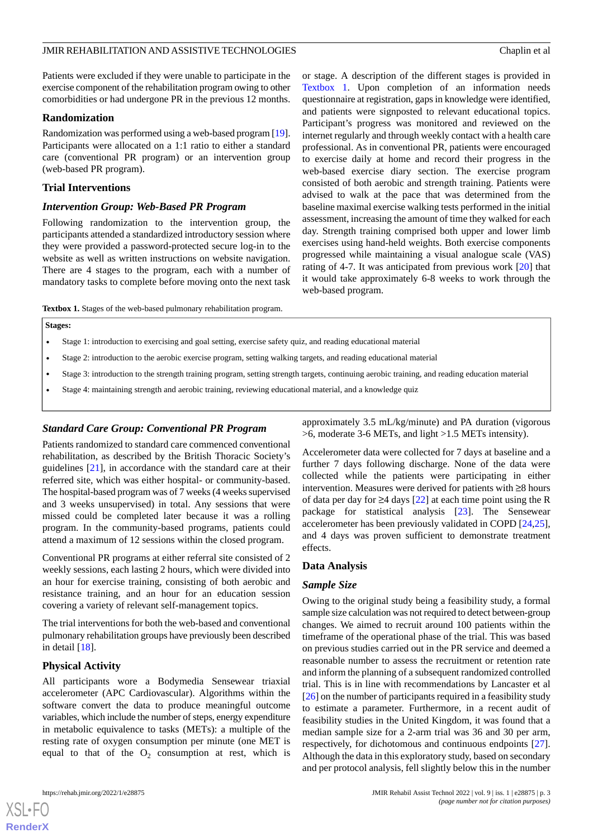Patients were excluded if they were unable to participate in the exercise component of the rehabilitation program owing to other comorbidities or had undergone PR in the previous 12 months.

#### **Randomization**

Randomization was performed using a web-based program [\[19\]](#page-9-15). Participants were allocated on a 1:1 ratio to either a standard care (conventional PR program) or an intervention group (web-based PR program).

# **Trial Interventions**

#### *Intervention Group: Web-Based PR Program*

Following randomization to the intervention group, the participants attended a standardized introductory session where they were provided a password-protected secure log-in to the website as well as written instructions on website navigation. There are 4 stages to the program, each with a number of mandatory tasks to complete before moving onto the next task

or stage. A description of the different stages is provided in [Textbox 1.](#page-2-0) Upon completion of an information needs questionnaire at registration, gaps in knowledge were identified, and patients were signposted to relevant educational topics. Participant's progress was monitored and reviewed on the internet regularly and through weekly contact with a health care professional. As in conventional PR, patients were encouraged to exercise daily at home and record their progress in the web-based exercise diary section. The exercise program consisted of both aerobic and strength training. Patients were advised to walk at the pace that was determined from the baseline maximal exercise walking tests performed in the initial assessment, increasing the amount of time they walked for each day. Strength training comprised both upper and lower limb exercises using hand-held weights. Both exercise components progressed while maintaining a visual analogue scale (VAS) rating of 4-7. It was anticipated from previous work [\[20](#page-9-16)] that it would take approximately 6-8 weeks to work through the web-based program.

<span id="page-2-0"></span>**Textbox 1.** Stages of the web-based pulmonary rehabilitation program.

#### **Stages:**

- Stage 1: introduction to exercising and goal setting, exercise safety quiz, and reading educational material
- Stage 2: introduction to the aerobic exercise program, setting walking targets, and reading educational material
- Stage 3: introduction to the strength training program, setting strength targets, continuing aerobic training, and reading education material
- Stage 4: maintaining strength and aerobic training, reviewing educational material, and a knowledge quiz

## *Standard Care Group: Conventional PR Program*

Patients randomized to standard care commenced conventional rehabilitation, as described by the British Thoracic Society's guidelines [\[21](#page-9-17)], in accordance with the standard care at their referred site, which was either hospital- or community-based. The hospital-based program was of 7 weeks (4 weeks supervised and 3 weeks unsupervised) in total. Any sessions that were missed could be completed later because it was a rolling program. In the community-based programs, patients could attend a maximum of 12 sessions within the closed program.

Conventional PR programs at either referral site consisted of 2 weekly sessions, each lasting 2 hours, which were divided into an hour for exercise training, consisting of both aerobic and resistance training, and an hour for an education session covering a variety of relevant self-management topics.

The trial interventions for both the web-based and conventional pulmonary rehabilitation groups have previously been described in detail  $[18]$  $[18]$ .

## **Physical Activity**

All participants wore a Bodymedia Sensewear triaxial accelerometer (APC Cardiovascular). Algorithms within the software convert the data to produce meaningful outcome variables, which include the number of steps, energy expenditure in metabolic equivalence to tasks (METs): a multiple of the resting rate of oxygen consumption per minute (one MET is equal to that of the  $O_2$  consumption at rest, which is

[XSL](http://www.w3.org/Style/XSL)•FO **[RenderX](http://www.renderx.com/)**

approximately 3.5 mL/kg/minute) and PA duration (vigorous >6, moderate 3-6 METs, and light >1.5 METs intensity).

Accelerometer data were collected for 7 days at baseline and a further 7 days following discharge. None of the data were collected while the patients were participating in either intervention. Measures were derived for patients with ≥8 hours of data per day for  $\geq$ 4 days [\[22](#page-9-18)] at each time point using the R package for statistical analysis [[23\]](#page-9-19). The Sensewear accelerometer has been previously validated in COPD [\[24](#page-10-0),[25\]](#page-10-1), and 4 days was proven sufficient to demonstrate treatment effects.

## **Data Analysis**

## *Sample Size*

Owing to the original study being a feasibility study, a formal sample size calculation was not required to detect between-group changes. We aimed to recruit around 100 patients within the timeframe of the operational phase of the trial. This was based on previous studies carried out in the PR service and deemed a reasonable number to assess the recruitment or retention rate and inform the planning of a subsequent randomized controlled trial. This is in line with recommendations by Lancaster et al [[26\]](#page-10-2) on the number of participants required in a feasibility study to estimate a parameter. Furthermore, in a recent audit of feasibility studies in the United Kingdom, it was found that a median sample size for a 2-arm trial was 36 and 30 per arm, respectively, for dichotomous and continuous endpoints [[27\]](#page-10-3). Although the data in this exploratory study, based on secondary and per protocol analysis, fell slightly below this in the number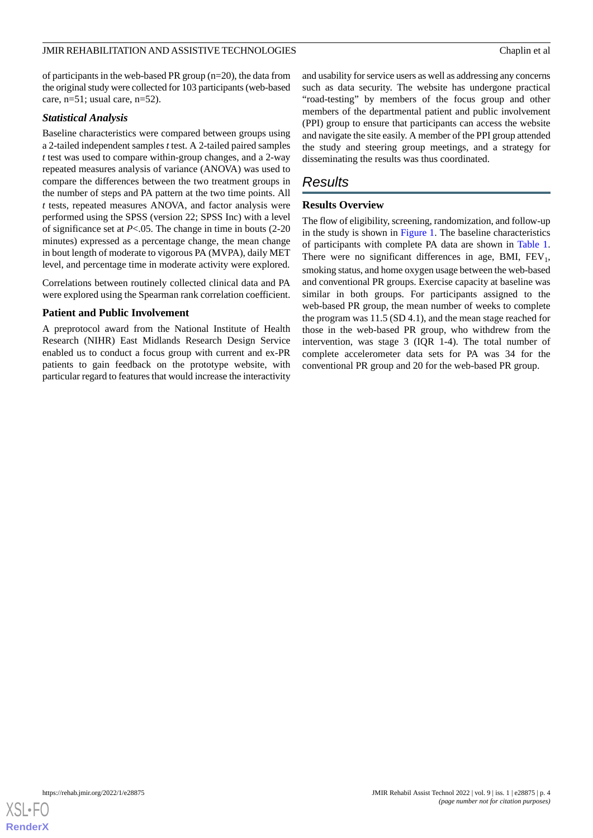of participants in the web-based PR group (n=20), the data from the original study were collected for 103 participants (web-based care, n=51; usual care, n=52).

# *Statistical Analysis*

Baseline characteristics were compared between groups using a 2-tailed independent samples *t* test. A 2-tailed paired samples *t* test was used to compare within-group changes, and a 2-way repeated measures analysis of variance (ANOVA) was used to compare the differences between the two treatment groups in the number of steps and PA pattern at the two time points. All *t* tests, repeated measures ANOVA, and factor analysis were performed using the SPSS (version 22; SPSS Inc) with a level of significance set at *P*<.05. The change in time in bouts (2-20 minutes) expressed as a percentage change, the mean change in bout length of moderate to vigorous PA (MVPA), daily MET level, and percentage time in moderate activity were explored.

Correlations between routinely collected clinical data and PA were explored using the Spearman rank correlation coefficient.

# **Patient and Public Involvement**

A preprotocol award from the National Institute of Health Research (NIHR) East Midlands Research Design Service enabled us to conduct a focus group with current and ex-PR patients to gain feedback on the prototype website, with particular regard to features that would increase the interactivity

and usability for service users as well as addressing any concerns such as data security. The website has undergone practical "road-testing" by members of the focus group and other members of the departmental patient and public involvement (PPI) group to ensure that participants can access the website and navigate the site easily. A member of the PPI group attended the study and steering group meetings, and a strategy for disseminating the results was thus coordinated.

# *Results*

# **Results Overview**

The flow of eligibility, screening, randomization, and follow-up in the study is shown in [Figure 1](#page-4-0). The baseline characteristics of participants with complete PA data are shown in [Table 1](#page-5-0). There were no significant differences in age, BMI,  $FEV_1$ , smoking status, and home oxygen usage between the web-based and conventional PR groups. Exercise capacity at baseline was similar in both groups. For participants assigned to the web-based PR group, the mean number of weeks to complete the program was 11.5 (SD 4.1), and the mean stage reached for those in the web-based PR group, who withdrew from the intervention, was stage 3 (IQR 1-4). The total number of complete accelerometer data sets for PA was 34 for the conventional PR group and 20 for the web-based PR group.

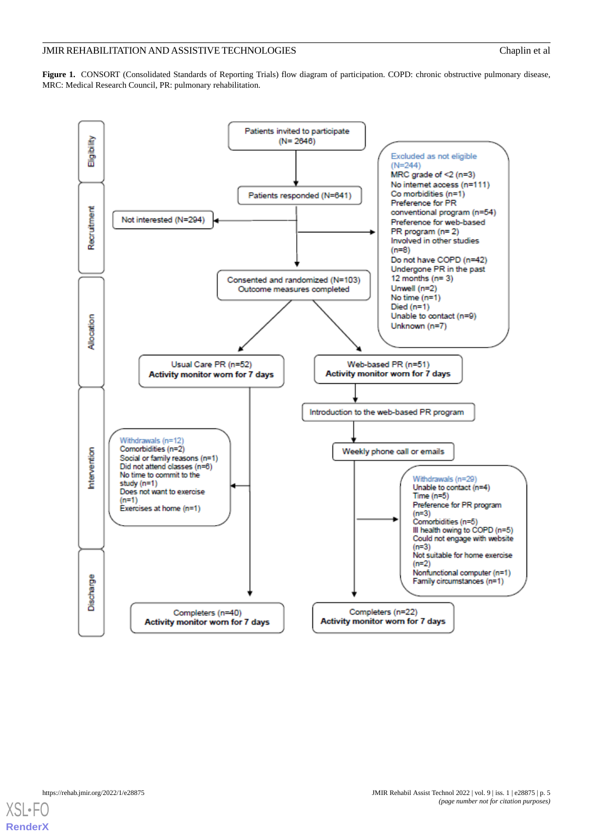<span id="page-4-0"></span>**Figure 1.** CONSORT (Consolidated Standards of Reporting Trials) flow diagram of participation. COPD: chronic obstructive pulmonary disease, MRC: Medical Research Council, PR: pulmonary rehabilitation.



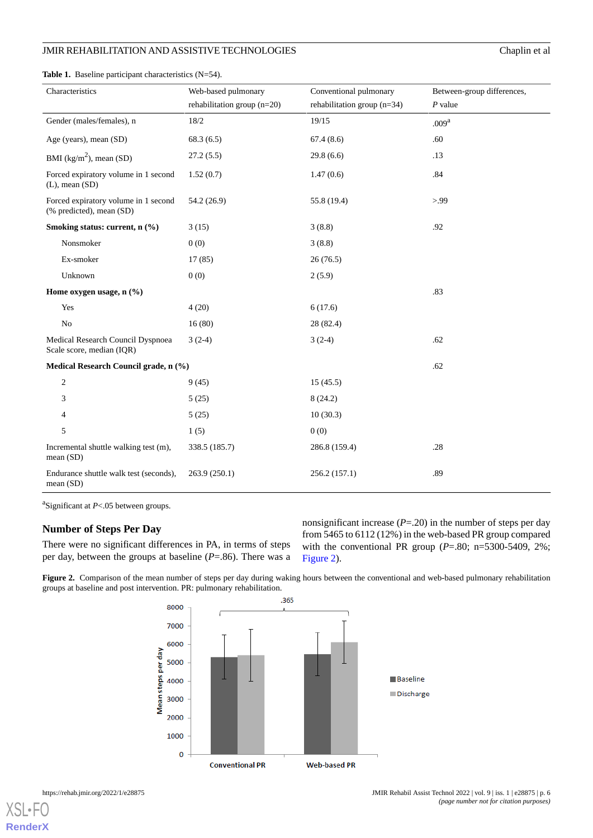<span id="page-5-0"></span>**Table 1.** Baseline participant characteristics (N=54).

|  |  | $CH$ api |  |
|--|--|----------|--|
|  |  |          |  |
|  |  |          |  |
|  |  |          |  |

| Characteristics                                                  | Web-based pulmonary<br>rehabilitation group (n=20) | Conventional pulmonary<br>rehabilitation group $(n=34)$ | Between-group differences,<br>$P$ value |
|------------------------------------------------------------------|----------------------------------------------------|---------------------------------------------------------|-----------------------------------------|
|                                                                  |                                                    |                                                         |                                         |
| Gender (males/females), n                                        | 18/2                                               | 19/15                                                   | .009 <sup>a</sup>                       |
| Age (years), mean (SD)                                           | 68.3(6.5)                                          | 67.4(8.6)                                               | .60                                     |
| BMI ( $\text{kg/m}^2$ ), mean (SD)                               | 27.2(5.5)                                          | 29.8(6.6)                                               | .13                                     |
| Forced expiratory volume in 1 second<br>$(L)$ , mean $(SD)$      | 1.52(0.7)                                          | 1.47(0.6)                                               | .84                                     |
| Forced expiratory volume in 1 second<br>(% predicted), mean (SD) | 54.2 (26.9)                                        | 55.8 (19.4)                                             | > 0.99                                  |
| Smoking status: current, n (%)                                   | 3(15)                                              | 3(8.8)                                                  | .92                                     |
| Nonsmoker                                                        | 0(0)                                               | 3(8.8)                                                  |                                         |
| Ex-smoker                                                        | 17(85)                                             | 26(76.5)                                                |                                         |
| Unknown                                                          | 0(0)                                               | 2(5.9)                                                  |                                         |
| Home oxygen usage, n (%)                                         |                                                    |                                                         | .83                                     |
| Yes                                                              | 4(20)                                              | 6(17.6)                                                 |                                         |
| $\rm No$                                                         | 16(80)                                             | 28 (82.4)                                               |                                         |
| Medical Research Council Dyspnoea<br>Scale score, median (IQR)   | $3(2-4)$                                           | $3(2-4)$                                                | .62                                     |
| Medical Research Council grade, n (%)                            |                                                    |                                                         | .62                                     |
| $\mathfrak{2}$                                                   | 9(45)                                              | 15(45.5)                                                |                                         |
| 3                                                                | 5(25)                                              | 8(24.2)                                                 |                                         |
| 4                                                                | 5(25)                                              | 10(30.3)                                                |                                         |
| 5                                                                | 1(5)                                               | 0(0)                                                    |                                         |
| Incremental shuttle walking test (m),<br>mean(SD)                | 338.5 (185.7)                                      | 286.8 (159.4)                                           | .28                                     |
| Endurance shuttle walk test (seconds),<br>mean (SD)              | 263.9 (250.1)                                      | 256.2 (157.1)                                           | .89                                     |

a Significant at *P*<.05 between groups.

# <span id="page-5-1"></span>**Number of Steps Per Day**

There were no significant differences in PA, in terms of steps per day, between the groups at baseline (*P*=.86). There was a

nonsignificant increase (*P*=.20) in the number of steps per day from 5465 to 6112 (12%) in the web-based PR group compared with the conventional PR group (*P*=.80; n=5300-5409, 2%; [Figure 2](#page-5-1)).

Figure 2. Comparison of the mean number of steps per day during waking hours between the conventional and web-based pulmonary rehabilitation groups at baseline and post intervention. PR: pulmonary rehabilitation.





**[RenderX](http://www.renderx.com/)**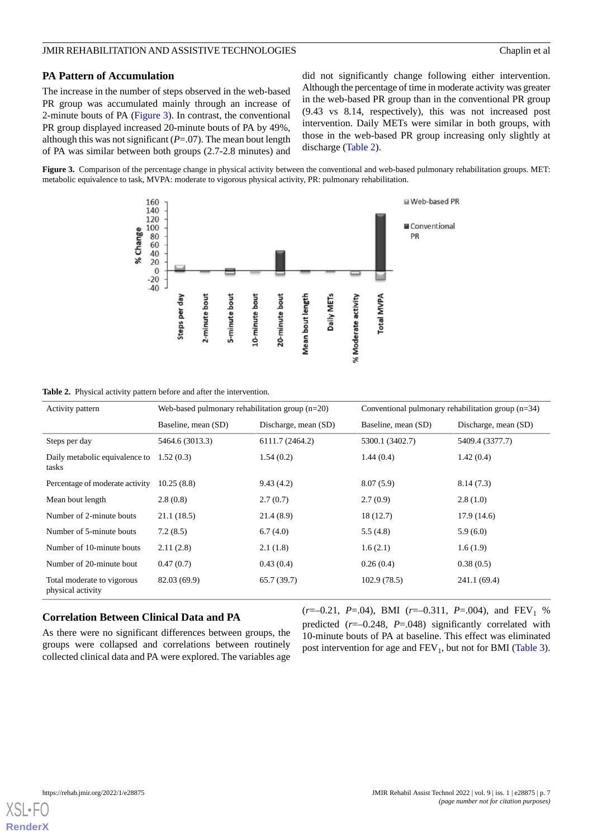# **PA Pattern of Accumulation**

The increase in the number of steps observed in the web-based PR group was accumulated mainly through an increase of 2-minute bouts of PA ([Figure 3\)](#page-6-0). In contrast, the conventional PR group displayed increased 20-minute bouts of PA by 49%, although this was not significant  $(P=0,07)$ . The mean bout length of PA was similar between both groups (2.7-2.8 minutes) and

did not significantly change following either intervention. Although the percentage of time in moderate activity was greater in the web-based PR group than in the conventional PR group (9.43 vs 8.14, respectively), this was not increased post intervention. Daily METs were similar in both groups, with those in the web-based PR group increasing only slightly at discharge ([Table 2](#page-6-1)).

<span id="page-6-0"></span>**Figure 3.** Comparison of the percentage change in physical activity between the conventional and web-based pulmonary rehabilitation groups. MET: metabolic equivalence to task, MVPA: moderate to vigorous physical activity, PR: pulmonary rehabilitation.



<span id="page-6-1"></span>**Table 2.** Physical activity pattern before and after the intervention.

| Activity pattern                                | Web-based pulmonary rehabilitation group $(n=20)$ |                      | Conventional pulmonary rehabilitation group $(n=34)$ |                      |  |
|-------------------------------------------------|---------------------------------------------------|----------------------|------------------------------------------------------|----------------------|--|
|                                                 | Baseline, mean (SD)                               | Discharge, mean (SD) | Baseline, mean (SD)                                  | Discharge, mean (SD) |  |
| Steps per day                                   | 5464.6 (3013.3)                                   | 6111.7 (2464.2)      | 5300.1 (3402.7)                                      | 5409.4 (3377.7)      |  |
| Daily metabolic equivalence to<br>tasks         | 1.52(0.3)                                         | 1.54(0.2)            | 1.44(0.4)                                            | 1.42(0.4)            |  |
| Percentage of moderate activity                 | 10.25(8.8)                                        | 9.43(4.2)            | 8.07(5.9)                                            | 8.14(7.3)            |  |
| Mean bout length                                | 2.8(0.8)                                          | 2.7(0.7)             | 2.7(0.9)                                             | 2.8(1.0)             |  |
| Number of 2-minute bouts                        | 21.1(18.5)                                        | 21.4(8.9)            | 18(12.7)                                             | 17.9(14.6)           |  |
| Number of 5-minute bouts                        | 7.2(8.5)                                          | 6.7(4.0)             | 5.5(4.8)                                             | 5.9(6.0)             |  |
| Number of 10-minute bouts                       | 2.11(2.8)                                         | 2.1(1.8)             | 1.6(2.1)                                             | 1.6(1.9)             |  |
| Number of 20-minute bout                        | 0.47(0.7)                                         | 0.43(0.4)            | 0.26(0.4)                                            | 0.38(0.5)            |  |
| Total moderate to vigorous<br>physical activity | 82.03 (69.9)                                      | 65.7(39.7)           | 102.9(78.5)                                          | 241.1 (69.4)         |  |

## **Correlation Between Clinical Data and PA**

As there were no significant differences between groups, the groups were collapsed and correlations between routinely collected clinical data and PA were explored. The variables age (*r*=–0.21, *P*=.04), BMI (*r*=–0.311, *P*=.004), and FEV<sub>1</sub> % predicted (*r*=–0.248, *P*=.048) significantly correlated with 10-minute bouts of PA at baseline. This effect was eliminated post intervention for age and  $FEV_1$ , but not for BMI ([Table 3\)](#page-7-0).

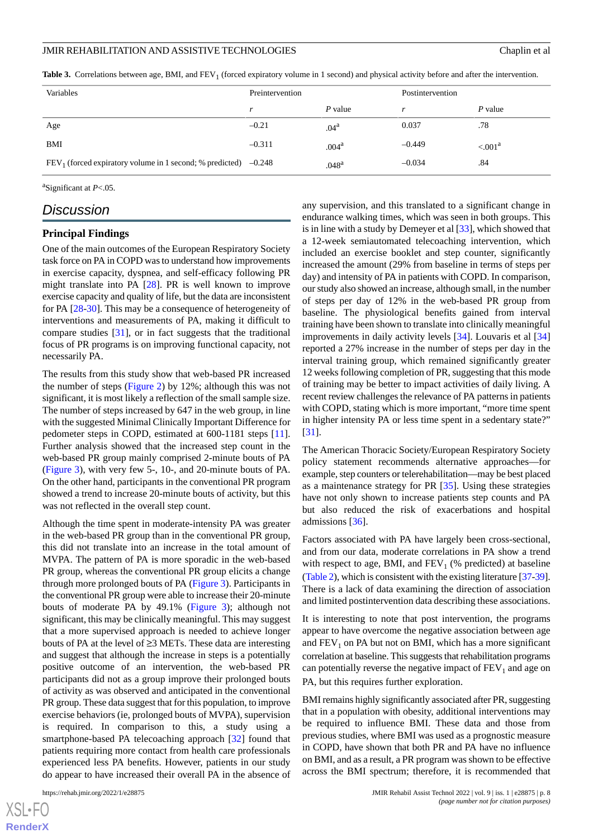<span id="page-7-0"></span>**Table 3.** Correlations between age, BMI, and FEV<sub>1</sub> (forced expiratory volume in 1 second) and physical activity before and after the intervention.

| Variables                                                         | Preintervention |                   | Postintervention |                    |
|-------------------------------------------------------------------|-----------------|-------------------|------------------|--------------------|
|                                                                   |                 | P value           |                  | P value            |
| Age                                                               | $-0.21$         | .04 <sup>a</sup>  | 0.037            | .78                |
| BMI                                                               | $-0.311$        | .004 <sup>a</sup> | $-0.449$         | ${<} .001^{\rm a}$ |
| $FEV1$ (forced expiratory volume in 1 second; % predicted) -0.248 |                 | .048 <sup>a</sup> | $-0.034$         | .84                |

a Significant at *P*<.05.

# *Discussion*

# **Principal Findings**

One of the main outcomes of the European Respiratory Society task force on PA in COPD was to understand how improvements in exercise capacity, dyspnea, and self-efficacy following PR might translate into PA [\[28](#page-10-4)]. PR is well known to improve exercise capacity and quality of life, but the data are inconsistent for PA [[28-](#page-10-4)[30](#page-10-5)]. This may be a consequence of heterogeneity of interventions and measurements of PA, making it difficult to compare studies [[31\]](#page-10-6), or in fact suggests that the traditional focus of PR programs is on improving functional capacity, not necessarily PA.

The results from this study show that web-based PR increased the number of steps [\(Figure 2](#page-5-1)) by 12%; although this was not significant, it is most likely a reflection of the small sample size. The number of steps increased by 647 in the web group, in line with the suggested Minimal Clinically Important Difference for pedometer steps in COPD, estimated at 600-1181 steps [[11\]](#page-9-7). Further analysis showed that the increased step count in the web-based PR group mainly comprised 2-minute bouts of PA ([Figure 3\)](#page-6-0), with very few 5-, 10-, and 20-minute bouts of PA. On the other hand, participants in the conventional PR program showed a trend to increase 20-minute bouts of activity, but this was not reflected in the overall step count.

Although the time spent in moderate-intensity PA was greater in the web-based PR group than in the conventional PR group, this did not translate into an increase in the total amount of MVPA. The pattern of PA is more sporadic in the web-based PR group, whereas the conventional PR group elicits a change through more prolonged bouts of PA [\(Figure 3](#page-6-0)). Participants in the conventional PR group were able to increase their 20-minute bouts of moderate PA by 49.1% [\(Figure 3\)](#page-6-0); although not significant, this may be clinically meaningful. This may suggest that a more supervised approach is needed to achieve longer bouts of PA at the level of ≥3 METs. These data are interesting and suggest that although the increase in steps is a potentially positive outcome of an intervention, the web-based PR participants did not as a group improve their prolonged bouts of activity as was observed and anticipated in the conventional PR group. These data suggest that for this population, to improve exercise behaviors (ie, prolonged bouts of MVPA), supervision is required. In comparison to this, a study using a smartphone-based PA telecoaching approach [\[32](#page-10-7)] found that patients requiring more contact from health care professionals experienced less PA benefits. However, patients in our study do appear to have increased their overall PA in the absence of

 $XS$  • FC **[RenderX](http://www.renderx.com/)** any supervision, and this translated to a significant change in endurance walking times, which was seen in both groups. This is in line with a study by Demeyer et al [\[33](#page-10-8)], which showed that a 12-week semiautomated telecoaching intervention, which included an exercise booklet and step counter, significantly increased the amount (29% from baseline in terms of steps per day) and intensity of PA in patients with COPD. In comparison, our study also showed an increase, although small, in the number of steps per day of 12% in the web-based PR group from baseline. The physiological benefits gained from interval training have been shown to translate into clinically meaningful improvements in daily activity levels [[34\]](#page-10-9). Louvaris et al [\[34](#page-10-9)] reported a 27% increase in the number of steps per day in the interval training group, which remained significantly greater 12 weeks following completion of PR, suggesting that this mode of training may be better to impact activities of daily living. A recent review challenges the relevance of PA patterns in patients with COPD, stating which is more important, "more time spent in higher intensity PA or less time spent in a sedentary state?" [[31\]](#page-10-6).

The American Thoracic Society/European Respiratory Society policy statement recommends alternative approaches—for example, step counters or telerehabilitation—may be best placed as a maintenance strategy for PR [\[35](#page-10-10)]. Using these strategies have not only shown to increase patients step counts and PA but also reduced the risk of exacerbations and hospital admissions [[36\]](#page-10-11).

Factors associated with PA have largely been cross-sectional, and from our data, moderate correlations in PA show a trend with respect to age, BMI, and  $FEV<sub>1</sub>$  (% predicted) at baseline ([Table 2](#page-6-1)), which is consistent with the existing literature [\[37](#page-10-12)[-39](#page-10-13)]. There is a lack of data examining the direction of association and limited postintervention data describing these associations.

It is interesting to note that post intervention, the programs appear to have overcome the negative association between age and  $FEV<sub>1</sub>$  on PA but not on BMI, which has a more significant correlation at baseline. This suggests that rehabilitation programs can potentially reverse the negative impact of  $FEV<sub>1</sub>$  and age on PA, but this requires further exploration.

BMI remains highly significantly associated after PR, suggesting that in a population with obesity, additional interventions may be required to influence BMI. These data and those from previous studies, where BMI was used as a prognostic measure in COPD, have shown that both PR and PA have no influence on BMI, and as a result, a PR program was shown to be effective across the BMI spectrum; therefore, it is recommended that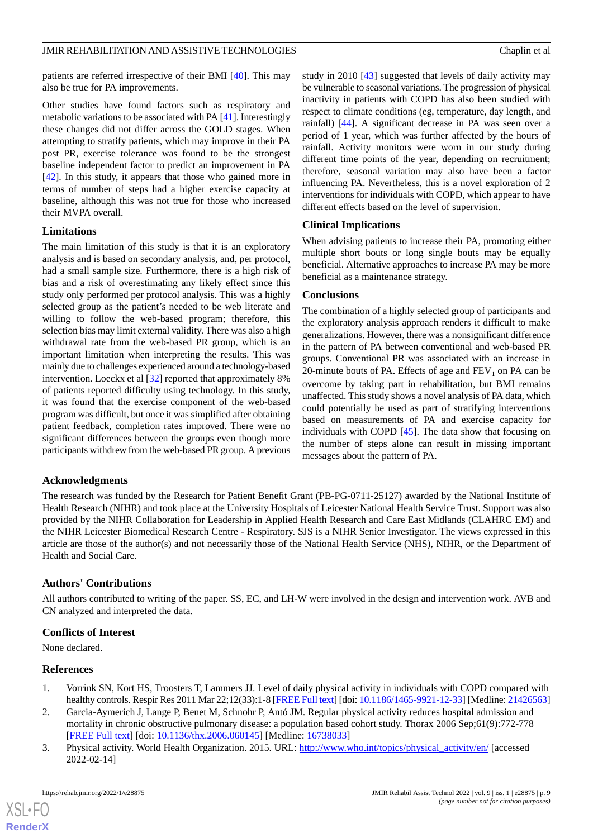patients are referred irrespective of their BMI [\[40](#page-10-14)]. This may also be true for PA improvements.

Other studies have found factors such as respiratory and metabolic variations to be associated with PA [\[41](#page-10-15)]. Interestingly these changes did not differ across the GOLD stages. When attempting to stratify patients, which may improve in their PA post PR, exercise tolerance was found to be the strongest baseline independent factor to predict an improvement in PA [[42\]](#page-10-16). In this study, it appears that those who gained more in terms of number of steps had a higher exercise capacity at baseline, although this was not true for those who increased their MVPA overall.

#### **Limitations**

The main limitation of this study is that it is an exploratory analysis and is based on secondary analysis, and, per protocol, had a small sample size. Furthermore, there is a high risk of bias and a risk of overestimating any likely effect since this study only performed per protocol analysis. This was a highly selected group as the patient's needed to be web literate and willing to follow the web-based program; therefore, this selection bias may limit external validity. There was also a high withdrawal rate from the web-based PR group, which is an important limitation when interpreting the results. This was mainly due to challenges experienced around a technology-based intervention. Loeckx et al [[32\]](#page-10-7) reported that approximately 8% of patients reported difficulty using technology. In this study, it was found that the exercise component of the web-based program was difficult, but once it was simplified after obtaining patient feedback, completion rates improved. There were no significant differences between the groups even though more participants withdrew from the web-based PR group. A previous

study in 2010 [[43\]](#page-10-17) suggested that levels of daily activity may be vulnerable to seasonal variations. The progression of physical inactivity in patients with COPD has also been studied with respect to climate conditions (eg, temperature, day length, and rainfall) [\[44](#page-11-0)]. A significant decrease in PA was seen over a period of 1 year, which was further affected by the hours of rainfall. Activity monitors were worn in our study during different time points of the year, depending on recruitment; therefore, seasonal variation may also have been a factor influencing PA. Nevertheless, this is a novel exploration of 2 interventions for individuals with COPD, which appear to have different effects based on the level of supervision.

#### **Clinical Implications**

When advising patients to increase their PA, promoting either multiple short bouts or long single bouts may be equally beneficial. Alternative approaches to increase PA may be more beneficial as a maintenance strategy.

#### **Conclusions**

The combination of a highly selected group of participants and the exploratory analysis approach renders it difficult to make generalizations. However, there was a nonsignificant difference in the pattern of PA between conventional and web-based PR groups. Conventional PR was associated with an increase in 20-minute bouts of PA. Effects of age and  $FEV<sub>1</sub>$  on PA can be overcome by taking part in rehabilitation, but BMI remains unaffected. This study shows a novel analysis of PA data, which could potentially be used as part of stratifying interventions based on measurements of PA and exercise capacity for individuals with COPD [\[45](#page-11-1)]. The data show that focusing on the number of steps alone can result in missing important messages about the pattern of PA.

## **Acknowledgments**

The research was funded by the Research for Patient Benefit Grant (PB-PG-0711-25127) awarded by the National Institute of Health Research (NIHR) and took place at the University Hospitals of Leicester National Health Service Trust. Support was also provided by the NIHR Collaboration for Leadership in Applied Health Research and Care East Midlands (CLAHRC EM) and the NIHR Leicester Biomedical Research Centre - Respiratory. SJS is a NIHR Senior Investigator. The views expressed in this article are those of the author(s) and not necessarily those of the National Health Service (NHS), NIHR, or the Department of Health and Social Care.

#### **Authors' Contributions**

All authors contributed to writing of the paper. SS, EC, and LH-W were involved in the design and intervention work. AVB and CN analyzed and interpreted the data.

## <span id="page-8-0"></span>**Conflicts of Interest**

<span id="page-8-1"></span>None declared.

#### <span id="page-8-2"></span>**References**

[XSL](http://www.w3.org/Style/XSL)•FO **[RenderX](http://www.renderx.com/)**

- 1. Vorrink SN, Kort HS, Troosters T, Lammers JJ. Level of daily physical activity in individuals with COPD compared with healthy controls. Respir Res 2011 Mar 22;12(33):1-8 [\[FREE Full text](https://respiratory-research.biomedcentral.com/articles/10.1186/1465-9921-12-33)] [doi: [10.1186/1465-9921-12-33](http://dx.doi.org/10.1186/1465-9921-12-33)] [Medline: [21426563](http://www.ncbi.nlm.nih.gov/entrez/query.fcgi?cmd=Retrieve&db=PubMed&list_uids=21426563&dopt=Abstract)]
- 2. Garcia-Aymerich J, Lange P, Benet M, Schnohr P, Antó JM. Regular physical activity reduces hospital admission and mortality in chronic obstructive pulmonary disease: a population based cohort study. Thorax 2006 Sep;61(9):772-778 [[FREE Full text](http://europepmc.org/abstract/MED/16738033)] [doi: [10.1136/thx.2006.060145](http://dx.doi.org/10.1136/thx.2006.060145)] [Medline: [16738033](http://www.ncbi.nlm.nih.gov/entrez/query.fcgi?cmd=Retrieve&db=PubMed&list_uids=16738033&dopt=Abstract)]
- 3. Physical activity. World Health Organization. 2015. URL: [http://www.who.int/topics/physical\\_activity/en/](http://www.who.int/topics/physical_activity/en/) [accessed 2022-02-14]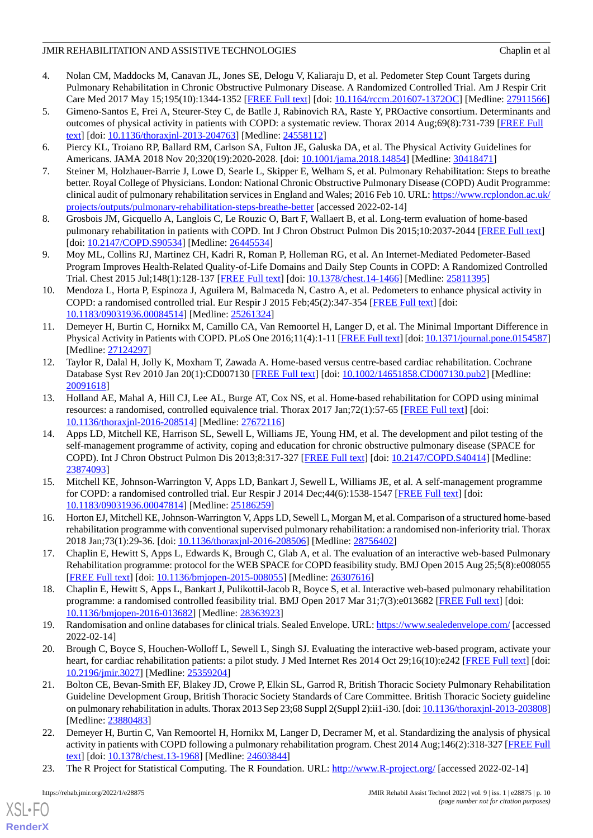- <span id="page-9-0"></span>4. Nolan CM, Maddocks M, Canavan JL, Jones SE, Delogu V, Kaliaraju D, et al. Pedometer Step Count Targets during Pulmonary Rehabilitation in Chronic Obstructive Pulmonary Disease. A Randomized Controlled Trial. Am J Respir Crit Care Med 2017 May 15;195(10):1344-1352 [\[FREE Full text\]](http://europepmc.org/abstract/MED/27911566) [doi: [10.1164/rccm.201607-1372OC](http://dx.doi.org/10.1164/rccm.201607-1372OC)] [Medline: [27911566\]](http://www.ncbi.nlm.nih.gov/entrez/query.fcgi?cmd=Retrieve&db=PubMed&list_uids=27911566&dopt=Abstract)
- <span id="page-9-1"></span>5. Gimeno-Santos E, Frei A, Steurer-Stey C, de Batlle J, Rabinovich RA, Raste Y, PROactive consortium. Determinants and outcomes of physical activity in patients with COPD: a systematic review. Thorax 2014 Aug;69(8):731-739 [\[FREE Full](http://thorax.bmj.com/lookup/pmidlookup?view=long&pmid=24558112) [text](http://thorax.bmj.com/lookup/pmidlookup?view=long&pmid=24558112)] [doi: [10.1136/thoraxjnl-2013-204763\]](http://dx.doi.org/10.1136/thoraxjnl-2013-204763) [Medline: [24558112](http://www.ncbi.nlm.nih.gov/entrez/query.fcgi?cmd=Retrieve&db=PubMed&list_uids=24558112&dopt=Abstract)]
- <span id="page-9-3"></span><span id="page-9-2"></span>6. Piercy KL, Troiano RP, Ballard RM, Carlson SA, Fulton JE, Galuska DA, et al. The Physical Activity Guidelines for Americans. JAMA 2018 Nov 20;320(19):2020-2028. [doi: [10.1001/jama.2018.14854\]](http://dx.doi.org/10.1001/jama.2018.14854) [Medline: [30418471\]](http://www.ncbi.nlm.nih.gov/entrez/query.fcgi?cmd=Retrieve&db=PubMed&list_uids=30418471&dopt=Abstract)
- 7. Steiner M, Holzhauer-Barrie J, Lowe D, Searle L, Skipper E, Welham S, et al. Pulmonary Rehabilitation: Steps to breathe better. Royal College of Physicians. London: National Chronic Obstructive Pulmonary Disease (COPD) Audit Programme: clinical audit of pulmonary rehabilitation services in England and Wales; 2016 Feb 10. URL: [https://www.rcplondon.ac.uk/](https://www.rcplondon.ac.uk/projects/outputs/pulmonary-rehabilitation-steps-breathe-better) [projects/outputs/pulmonary-rehabilitation-steps-breathe-better](https://www.rcplondon.ac.uk/projects/outputs/pulmonary-rehabilitation-steps-breathe-better) [accessed 2022-02-14]
- <span id="page-9-5"></span><span id="page-9-4"></span>8. Grosbois JM, Gicquello A, Langlois C, Le Rouzic O, Bart F, Wallaert B, et al. Long-term evaluation of home-based pulmonary rehabilitation in patients with COPD. Int J Chron Obstruct Pulmon Dis 2015;10:2037-2044 [\[FREE Full text\]](https://dx.doi.org/10.2147/COPD.S90534) [doi: [10.2147/COPD.S90534\]](http://dx.doi.org/10.2147/COPD.S90534) [Medline: [26445534\]](http://www.ncbi.nlm.nih.gov/entrez/query.fcgi?cmd=Retrieve&db=PubMed&list_uids=26445534&dopt=Abstract)
- <span id="page-9-6"></span>9. Moy ML, Collins RJ, Martinez CH, Kadri R, Roman P, Holleman RG, et al. An Internet-Mediated Pedometer-Based Program Improves Health-Related Quality-of-Life Domains and Daily Step Counts in COPD: A Randomized Controlled Trial. Chest 2015 Jul;148(1):128-137 [\[FREE Full text\]](http://europepmc.org/abstract/MED/25811395) [doi: [10.1378/chest.14-1466\]](http://dx.doi.org/10.1378/chest.14-1466) [Medline: [25811395](http://www.ncbi.nlm.nih.gov/entrez/query.fcgi?cmd=Retrieve&db=PubMed&list_uids=25811395&dopt=Abstract)]
- <span id="page-9-7"></span>10. Mendoza L, Horta P, Espinoza J, Aguilera M, Balmaceda N, Castro A, et al. Pedometers to enhance physical activity in COPD: a randomised controlled trial. Eur Respir J 2015 Feb;45(2):347-354 [\[FREE Full text\]](http://erj.ersjournals.com/cgi/pmidlookup?view=long&pmid=25261324) [doi: [10.1183/09031936.00084514](http://dx.doi.org/10.1183/09031936.00084514)] [Medline: [25261324](http://www.ncbi.nlm.nih.gov/entrez/query.fcgi?cmd=Retrieve&db=PubMed&list_uids=25261324&dopt=Abstract)]
- <span id="page-9-8"></span>11. Demeyer H, Burtin C, Hornikx M, Camillo CA, Van Remoortel H, Langer D, et al. The Minimal Important Difference in Physical Activity in Patients with COPD. PLoS One 2016;11(4):1-11 [\[FREE Full text](https://dx.plos.org/10.1371/journal.pone.0154587)] [doi: [10.1371/journal.pone.0154587\]](http://dx.doi.org/10.1371/journal.pone.0154587) [Medline: [27124297](http://www.ncbi.nlm.nih.gov/entrez/query.fcgi?cmd=Retrieve&db=PubMed&list_uids=27124297&dopt=Abstract)]
- <span id="page-9-9"></span>12. Taylor R, Dalal H, Jolly K, Moxham T, Zawada A. Home-based versus centre-based cardiac rehabilitation. Cochrane Database Syst Rev 2010 Jan 20(1):CD007130 [\[FREE Full text\]](http://europepmc.org/abstract/MED/20091618) [doi: [10.1002/14651858.CD007130.pub2](http://dx.doi.org/10.1002/14651858.CD007130.pub2)] [Medline: [20091618](http://www.ncbi.nlm.nih.gov/entrez/query.fcgi?cmd=Retrieve&db=PubMed&list_uids=20091618&dopt=Abstract)]
- <span id="page-9-10"></span>13. Holland AE, Mahal A, Hill CJ, Lee AL, Burge AT, Cox NS, et al. Home-based rehabilitation for COPD using minimal resources: a randomised, controlled equivalence trial. Thorax 2017 Jan;72(1):57-65 [[FREE Full text](http://thorax.bmj.com/lookup/pmidlookup?view=long&pmid=27672116)] [doi: [10.1136/thoraxjnl-2016-208514\]](http://dx.doi.org/10.1136/thoraxjnl-2016-208514) [Medline: [27672116](http://www.ncbi.nlm.nih.gov/entrez/query.fcgi?cmd=Retrieve&db=PubMed&list_uids=27672116&dopt=Abstract)]
- <span id="page-9-11"></span>14. Apps LD, Mitchell KE, Harrison SL, Sewell L, Williams JE, Young HM, et al. The development and pilot testing of the self-management programme of activity, coping and education for chronic obstructive pulmonary disease (SPACE for COPD). Int J Chron Obstruct Pulmon Dis 2013;8:317-327 [[FREE Full text](https://dx.doi.org/10.2147/COPD.S40414)] [doi: [10.2147/COPD.S40414](http://dx.doi.org/10.2147/COPD.S40414)] [Medline: [23874093](http://www.ncbi.nlm.nih.gov/entrez/query.fcgi?cmd=Retrieve&db=PubMed&list_uids=23874093&dopt=Abstract)]
- <span id="page-9-13"></span><span id="page-9-12"></span>15. Mitchell KE, Johnson-Warrington V, Apps LD, Bankart J, Sewell L, Williams JE, et al. A self-management programme for COPD: a randomised controlled trial. Eur Respir J 2014 Dec; 44(6):1538-1547 [[FREE Full text](http://erj.ersjournals.com/cgi/pmidlookup?view=long&pmid=25186259)] [doi: [10.1183/09031936.00047814](http://dx.doi.org/10.1183/09031936.00047814)] [Medline: [25186259](http://www.ncbi.nlm.nih.gov/entrez/query.fcgi?cmd=Retrieve&db=PubMed&list_uids=25186259&dopt=Abstract)]
- <span id="page-9-14"></span>16. Horton EJ, Mitchell KE, Johnson-Warrington V, Apps LD, Sewell L, Morgan M, et al. Comparison of a structured home-based rehabilitation programme with conventional supervised pulmonary rehabilitation: a randomised non-inferiority trial. Thorax 2018 Jan;73(1):29-36. [doi: [10.1136/thoraxjnl-2016-208506](http://dx.doi.org/10.1136/thoraxjnl-2016-208506)] [Medline: [28756402](http://www.ncbi.nlm.nih.gov/entrez/query.fcgi?cmd=Retrieve&db=PubMed&list_uids=28756402&dopt=Abstract)]
- <span id="page-9-15"></span>17. Chaplin E, Hewitt S, Apps L, Edwards K, Brough C, Glab A, et al. The evaluation of an interactive web-based Pulmonary Rehabilitation programme: protocol for the WEB SPACE for COPD feasibility study. BMJ Open 2015 Aug 25;5(8):e008055 [[FREE Full text](https://bmjopen.bmj.com/lookup/pmidlookup?view=long&pmid=26307616)] [doi: [10.1136/bmjopen-2015-008055](http://dx.doi.org/10.1136/bmjopen-2015-008055)] [Medline: [26307616](http://www.ncbi.nlm.nih.gov/entrez/query.fcgi?cmd=Retrieve&db=PubMed&list_uids=26307616&dopt=Abstract)]
- <span id="page-9-16"></span>18. Chaplin E, Hewitt S, Apps L, Bankart J, Pulikottil-Jacob R, Boyce S, et al. Interactive web-based pulmonary rehabilitation programme: a randomised controlled feasibility trial. BMJ Open 2017 Mar 31;7(3):e013682 [[FREE Full text](https://bmjopen.bmj.com/lookup/pmidlookup?view=long&pmid=28363923)] [doi: [10.1136/bmjopen-2016-013682\]](http://dx.doi.org/10.1136/bmjopen-2016-013682) [Medline: [28363923](http://www.ncbi.nlm.nih.gov/entrez/query.fcgi?cmd=Retrieve&db=PubMed&list_uids=28363923&dopt=Abstract)]
- <span id="page-9-17"></span>19. Randomisation and online databases for clinical trials. Sealed Envelope. URL:<https://www.sealedenvelope.com/> [accessed 2022-02-14]
- <span id="page-9-18"></span>20. Brough C, Boyce S, Houchen-Wolloff L, Sewell L, Singh SJ. Evaluating the interactive web-based program, activate your heart, for cardiac rehabilitation patients: a pilot study. J Med Internet Res 2014 Oct 29;16(10):e242 [[FREE Full text](https://www.jmir.org/2014/10/e242/)] [doi: [10.2196/jmir.3027](http://dx.doi.org/10.2196/jmir.3027)] [Medline: [25359204](http://www.ncbi.nlm.nih.gov/entrez/query.fcgi?cmd=Retrieve&db=PubMed&list_uids=25359204&dopt=Abstract)]
- <span id="page-9-19"></span>21. Bolton CE, Bevan-Smith EF, Blakey JD, Crowe P, Elkin SL, Garrod R, British Thoracic Society Pulmonary Rehabilitation Guideline Development Group, British Thoracic Society Standards of Care Committee. British Thoracic Society guideline on pulmonary rehabilitation in adults. Thorax 2013 Sep 23;68 Suppl 2(Suppl 2):ii1-i30. [doi: [10.1136/thoraxjnl-2013-203808\]](http://dx.doi.org/10.1136/thoraxjnl-2013-203808) [Medline: [23880483](http://www.ncbi.nlm.nih.gov/entrez/query.fcgi?cmd=Retrieve&db=PubMed&list_uids=23880483&dopt=Abstract)]
- 22. Demeyer H, Burtin C, Van Remoortel H, Hornikx M, Langer D, Decramer M, et al. Standardizing the analysis of physical activity in patients with COPD following a pulmonary rehabilitation program. Chest 2014 Aug;146(2):318-327 [\[FREE Full](https://linkinghub.elsevier.com/retrieve/pii/S0012-3692(15)48821-X) [text](https://linkinghub.elsevier.com/retrieve/pii/S0012-3692(15)48821-X)] [doi: [10.1378/chest.13-1968](http://dx.doi.org/10.1378/chest.13-1968)] [Medline: [24603844](http://www.ncbi.nlm.nih.gov/entrez/query.fcgi?cmd=Retrieve&db=PubMed&list_uids=24603844&dopt=Abstract)]
- 23. The R Project for Statistical Computing. The R Foundation. URL: <http://www.R-project.org/> [accessed 2022-02-14]

[XSL](http://www.w3.org/Style/XSL)•FO **[RenderX](http://www.renderx.com/)**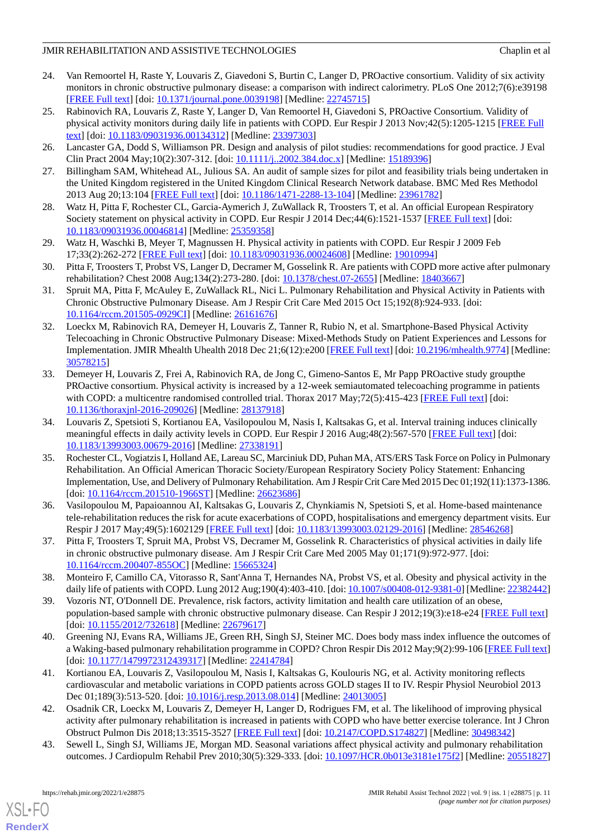- <span id="page-10-0"></span>24. Van Remoortel H, Raste Y, Louvaris Z, Giavedoni S, Burtin C, Langer D, PROactive consortium. Validity of six activity monitors in chronic obstructive pulmonary disease: a comparison with indirect calorimetry. PLoS One 2012;7(6):e39198 [[FREE Full text](https://dx.plos.org/10.1371/journal.pone.0039198)] [doi: [10.1371/journal.pone.0039198](http://dx.doi.org/10.1371/journal.pone.0039198)] [Medline: [22745715](http://www.ncbi.nlm.nih.gov/entrez/query.fcgi?cmd=Retrieve&db=PubMed&list_uids=22745715&dopt=Abstract)]
- <span id="page-10-1"></span>25. Rabinovich RA, Louvaris Z, Raste Y, Langer D, Van Remoortel H, Giavedoni S, PROactive Consortium. Validity of physical activity monitors during daily life in patients with COPD. Eur Respir J 2013 Nov;42(5):1205-1215 [\[FREE Full](http://erj.ersjournals.com/cgi/pmidlookup?view=long&pmid=23397303) [text](http://erj.ersjournals.com/cgi/pmidlookup?view=long&pmid=23397303)] [doi: [10.1183/09031936.00134312](http://dx.doi.org/10.1183/09031936.00134312)] [Medline: [23397303](http://www.ncbi.nlm.nih.gov/entrez/query.fcgi?cmd=Retrieve&db=PubMed&list_uids=23397303&dopt=Abstract)]
- <span id="page-10-3"></span><span id="page-10-2"></span>26. Lancaster GA, Dodd S, Williamson PR. Design and analysis of pilot studies: recommendations for good practice. J Eval Clin Pract 2004 May;10(2):307-312. [doi: [10.1111/j..2002.384.doc.x](http://dx.doi.org/10.1111/j..2002.384.doc.x)] [Medline: [15189396\]](http://www.ncbi.nlm.nih.gov/entrez/query.fcgi?cmd=Retrieve&db=PubMed&list_uids=15189396&dopt=Abstract)
- <span id="page-10-4"></span>27. Billingham SAM, Whitehead AL, Julious SA. An audit of sample sizes for pilot and feasibility trials being undertaken in the United Kingdom registered in the United Kingdom Clinical Research Network database. BMC Med Res Methodol 2013 Aug 20;13:104 [\[FREE Full text\]](https://bmcmedresmethodol.biomedcentral.com/articles/10.1186/1471-2288-13-104) [doi: [10.1186/1471-2288-13-104](http://dx.doi.org/10.1186/1471-2288-13-104)] [Medline: [23961782\]](http://www.ncbi.nlm.nih.gov/entrez/query.fcgi?cmd=Retrieve&db=PubMed&list_uids=23961782&dopt=Abstract)
- 28. Watz H, Pitta F, Rochester CL, Garcia-Aymerich J, ZuWallack R, Troosters T, et al. An official European Respiratory Society statement on physical activity in COPD. Eur Respir J 2014 Dec;44(6):1521-1537 [\[FREE Full text\]](http://erj.ersjournals.com/cgi/pmidlookup?view=long&pmid=25359358) [doi: [10.1183/09031936.00046814](http://dx.doi.org/10.1183/09031936.00046814)] [Medline: [25359358](http://www.ncbi.nlm.nih.gov/entrez/query.fcgi?cmd=Retrieve&db=PubMed&list_uids=25359358&dopt=Abstract)]
- <span id="page-10-5"></span>29. Watz H, Waschki B, Meyer T, Magnussen H. Physical activity in patients with COPD. Eur Respir J 2009 Feb 17;33(2):262-272 [[FREE Full text](http://erj.ersjournals.com/cgi/pmidlookup?view=long&pmid=19010994)] [doi: [10.1183/09031936.00024608](http://dx.doi.org/10.1183/09031936.00024608)] [Medline: [19010994](http://www.ncbi.nlm.nih.gov/entrez/query.fcgi?cmd=Retrieve&db=PubMed&list_uids=19010994&dopt=Abstract)]
- <span id="page-10-6"></span>30. Pitta F, Troosters T, Probst VS, Langer D, Decramer M, Gosselink R. Are patients with COPD more active after pulmonary rehabilitation? Chest 2008 Aug;134(2):273-280. [doi: [10.1378/chest.07-2655](http://dx.doi.org/10.1378/chest.07-2655)] [Medline: [18403667](http://www.ncbi.nlm.nih.gov/entrez/query.fcgi?cmd=Retrieve&db=PubMed&list_uids=18403667&dopt=Abstract)]
- <span id="page-10-7"></span>31. Spruit MA, Pitta F, McAuley E, ZuWallack RL, Nici L. Pulmonary Rehabilitation and Physical Activity in Patients with Chronic Obstructive Pulmonary Disease. Am J Respir Crit Care Med 2015 Oct 15;192(8):924-933. [doi: [10.1164/rccm.201505-0929CI\]](http://dx.doi.org/10.1164/rccm.201505-0929CI) [Medline: [26161676](http://www.ncbi.nlm.nih.gov/entrez/query.fcgi?cmd=Retrieve&db=PubMed&list_uids=26161676&dopt=Abstract)]
- <span id="page-10-8"></span>32. Loeckx M, Rabinovich RA, Demeyer H, Louvaris Z, Tanner R, Rubio N, et al. Smartphone-Based Physical Activity Telecoaching in Chronic Obstructive Pulmonary Disease: Mixed-Methods Study on Patient Experiences and Lessons for Implementation. JMIR Mhealth Uhealth 2018 Dec 21;6(12):e200 [[FREE Full text](https://mhealth.jmir.org/2018/12/e200/)] [doi: [10.2196/mhealth.9774\]](http://dx.doi.org/10.2196/mhealth.9774) [Medline: [30578215](http://www.ncbi.nlm.nih.gov/entrez/query.fcgi?cmd=Retrieve&db=PubMed&list_uids=30578215&dopt=Abstract)]
- <span id="page-10-9"></span>33. Demeyer H, Louvaris Z, Frei A, Rabinovich RA, de Jong C, Gimeno-Santos E, Mr Papp PROactive study groupthe PROactive consortium. Physical activity is increased by a 12-week semiautomated telecoaching programme in patients with COPD: a multicentre randomised controlled trial. Thorax 2017 May;72(5):415-423 [[FREE Full text](http://thorax.bmj.com/lookup/pmidlookup?view=long&pmid=28137918)] [doi: [10.1136/thoraxjnl-2016-209026\]](http://dx.doi.org/10.1136/thoraxjnl-2016-209026) [Medline: [28137918](http://www.ncbi.nlm.nih.gov/entrez/query.fcgi?cmd=Retrieve&db=PubMed&list_uids=28137918&dopt=Abstract)]
- <span id="page-10-10"></span>34. Louvaris Z, Spetsioti S, Kortianou EA, Vasilopoulou M, Nasis I, Kaltsakas G, et al. Interval training induces clinically meaningful effects in daily activity levels in COPD. Eur Respir J 2016 Aug;48(2):567-570 [[FREE Full text](http://erj.ersjournals.com/cgi/pmidlookup?view=long&pmid=27338191)] [doi: [10.1183/13993003.00679-2016\]](http://dx.doi.org/10.1183/13993003.00679-2016) [Medline: [27338191](http://www.ncbi.nlm.nih.gov/entrez/query.fcgi?cmd=Retrieve&db=PubMed&list_uids=27338191&dopt=Abstract)]
- <span id="page-10-11"></span>35. Rochester CL, Vogiatzis I, Holland AE, Lareau SC, Marciniuk DD, Puhan MA, ATS/ERS Task Force on Policy in Pulmonary Rehabilitation. An Official American Thoracic Society/European Respiratory Society Policy Statement: Enhancing Implementation, Use, and Delivery of Pulmonary Rehabilitation. Am J Respir Crit Care Med 2015 Dec 01;192(11):1373-1386. [doi: [10.1164/rccm.201510-1966ST\]](http://dx.doi.org/10.1164/rccm.201510-1966ST) [Medline: [26623686](http://www.ncbi.nlm.nih.gov/entrez/query.fcgi?cmd=Retrieve&db=PubMed&list_uids=26623686&dopt=Abstract)]
- <span id="page-10-12"></span>36. Vasilopoulou M, Papaioannou AI, Kaltsakas G, Louvaris Z, Chynkiamis N, Spetsioti S, et al. Home-based maintenance tele-rehabilitation reduces the risk for acute exacerbations of COPD, hospitalisations and emergency department visits. Eur Respir J 2017 May;49(5):1602129 [\[FREE Full text\]](http://erj.ersjournals.com/cgi/pmidlookup?view=long&pmid=28546268) [doi: [10.1183/13993003.02129-2016](http://dx.doi.org/10.1183/13993003.02129-2016)] [Medline: [28546268\]](http://www.ncbi.nlm.nih.gov/entrez/query.fcgi?cmd=Retrieve&db=PubMed&list_uids=28546268&dopt=Abstract)
- <span id="page-10-13"></span>37. Pitta F, Troosters T, Spruit MA, Probst VS, Decramer M, Gosselink R. Characteristics of physical activities in daily life in chronic obstructive pulmonary disease. Am J Respir Crit Care Med 2005 May 01;171(9):972-977. [doi: [10.1164/rccm.200407-855OC](http://dx.doi.org/10.1164/rccm.200407-855OC)] [Medline: [15665324](http://www.ncbi.nlm.nih.gov/entrez/query.fcgi?cmd=Retrieve&db=PubMed&list_uids=15665324&dopt=Abstract)]
- <span id="page-10-14"></span>38. Monteiro F, Camillo CA, Vitorasso R, Sant'Anna T, Hernandes NA, Probst VS, et al. Obesity and physical activity in the daily life of patients with COPD. Lung 2012 Aug;190(4):403-410. [doi: [10.1007/s00408-012-9381-0](http://dx.doi.org/10.1007/s00408-012-9381-0)] [Medline: [22382442\]](http://www.ncbi.nlm.nih.gov/entrez/query.fcgi?cmd=Retrieve&db=PubMed&list_uids=22382442&dopt=Abstract)
- <span id="page-10-15"></span>39. Vozoris NT, O'Donnell DE. Prevalence, risk factors, activity limitation and health care utilization of an obese, population-based sample with chronic obstructive pulmonary disease. Can Respir J 2012;19(3):e18-e24 [[FREE Full text](https://doi.org/10.1155/2012/732618)] [doi: [10.1155/2012/732618\]](http://dx.doi.org/10.1155/2012/732618) [Medline: [22679617\]](http://www.ncbi.nlm.nih.gov/entrez/query.fcgi?cmd=Retrieve&db=PubMed&list_uids=22679617&dopt=Abstract)
- <span id="page-10-16"></span>40. Greening NJ, Evans RA, Williams JE, Green RH, Singh SJ, Steiner MC. Does body mass index influence the outcomes of a Waking-based pulmonary rehabilitation programme in COPD? Chron Respir Dis 2012 May;9(2):99-106 [\[FREE Full text](https://journals.sagepub.com/doi/10.1177/1479972312439317?url_ver=Z39.88-2003&rfr_id=ori:rid:crossref.org&rfr_dat=cr_pub%3dpubmed)] [doi: [10.1177/1479972312439317](http://dx.doi.org/10.1177/1479972312439317)] [Medline: [22414784\]](http://www.ncbi.nlm.nih.gov/entrez/query.fcgi?cmd=Retrieve&db=PubMed&list_uids=22414784&dopt=Abstract)
- <span id="page-10-17"></span>41. Kortianou EA, Louvaris Z, Vasilopoulou M, Nasis I, Kaltsakas G, Koulouris NG, et al. Activity monitoring reflects cardiovascular and metabolic variations in COPD patients across GOLD stages II to IV. Respir Physiol Neurobiol 2013 Dec 01;189(3):513-520. [doi: [10.1016/j.resp.2013.08.014\]](http://dx.doi.org/10.1016/j.resp.2013.08.014) [Medline: [24013005](http://www.ncbi.nlm.nih.gov/entrez/query.fcgi?cmd=Retrieve&db=PubMed&list_uids=24013005&dopt=Abstract)]
- 42. Osadnik CR, Loeckx M, Louvaris Z, Demeyer H, Langer D, Rodrigues FM, et al. The likelihood of improving physical activity after pulmonary rehabilitation is increased in patients with COPD who have better exercise tolerance. Int J Chron Obstruct Pulmon Dis 2018;13:3515-3527 [\[FREE Full text\]](https://dx.doi.org/10.2147/COPD.S174827) [doi: [10.2147/COPD.S174827\]](http://dx.doi.org/10.2147/COPD.S174827) [Medline: [30498342\]](http://www.ncbi.nlm.nih.gov/entrez/query.fcgi?cmd=Retrieve&db=PubMed&list_uids=30498342&dopt=Abstract)
- 43. Sewell L, Singh SJ, Williams JE, Morgan MD. Seasonal variations affect physical activity and pulmonary rehabilitation outcomes. J Cardiopulm Rehabil Prev 2010;30(5):329-333. [doi: [10.1097/HCR.0b013e3181e175f2](http://dx.doi.org/10.1097/HCR.0b013e3181e175f2)] [Medline: [20551827](http://www.ncbi.nlm.nih.gov/entrez/query.fcgi?cmd=Retrieve&db=PubMed&list_uids=20551827&dopt=Abstract)]

[XSL](http://www.w3.org/Style/XSL)•FO **[RenderX](http://www.renderx.com/)**